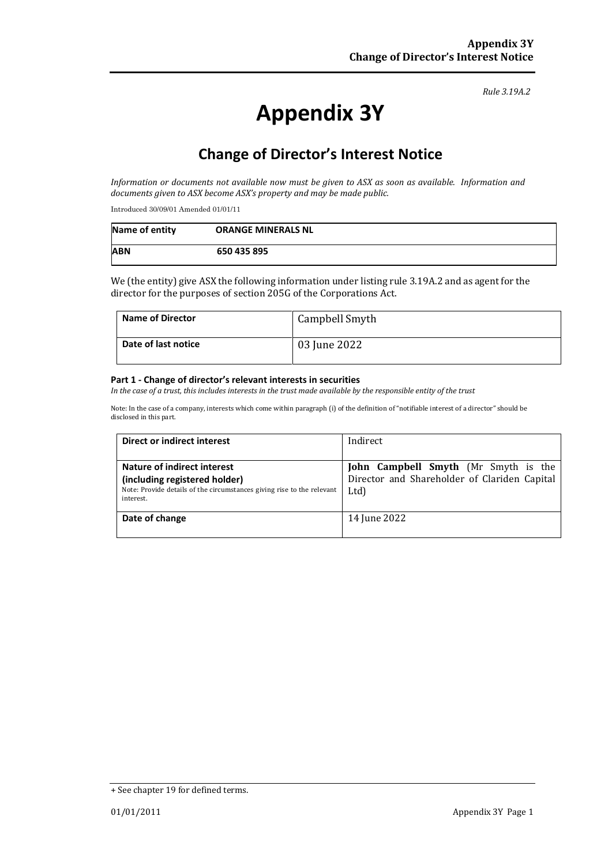#### *Rule 3.19A.2*

# **Appendix 3Y**

# **Change of Director's Interest Notice**

*Information or documents not available now must be given to ASX as soon as available. Information and documents given to ASX become ASX's property and may be made public.*

Introduced 30/09/01 Amended 01/01/11

| Name of entity | <b>ORANGE MINERALS NL</b> |
|----------------|---------------------------|
| <b>ABN</b>     | 650 435 895               |

We (the entity) give ASX the following information under listing rule 3.19A.2 and as agent for the director for the purposes of section 205G of the Corporations Act.

| <b>Name of Director</b> | Campbell Smyth |
|-------------------------|----------------|
| Date of last notice     | 03 June 2022   |

#### **Part 1 - Change of director's relevant interests in securities**

*In the case of a trust, this includes interests in the trust made available by the responsible entity of the trust*

Note: In the case of a company, interests which come within paragraph (i) of the definition of "notifiable interest of a director" should be disclosed in this part.

| Direct or indirect interest                                                         | Indirect                                     |  |
|-------------------------------------------------------------------------------------|----------------------------------------------|--|
|                                                                                     |                                              |  |
| Nature of indirect interest                                                         | John Campbell Smyth (Mr Smyth is the         |  |
| (including registered holder)                                                       | Director and Shareholder of Clariden Capital |  |
| Note: Provide details of the circumstances giving rise to the relevant<br>interest. | Ltd)                                         |  |
| Date of change                                                                      | 14 June 2022                                 |  |
|                                                                                     |                                              |  |

<sup>+</sup> See chapter 19 for defined terms.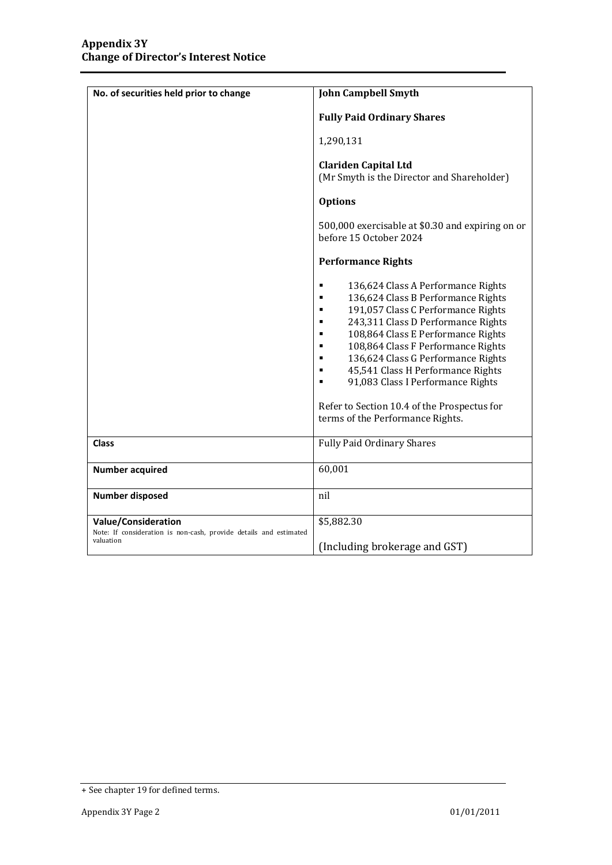| No. of securities held prior to change                                                                | <b>John Campbell Smyth</b>                                                                                                                                                                                                                                                                                                                                                                                                                                                                                              |  |
|-------------------------------------------------------------------------------------------------------|-------------------------------------------------------------------------------------------------------------------------------------------------------------------------------------------------------------------------------------------------------------------------------------------------------------------------------------------------------------------------------------------------------------------------------------------------------------------------------------------------------------------------|--|
|                                                                                                       | <b>Fully Paid Ordinary Shares</b>                                                                                                                                                                                                                                                                                                                                                                                                                                                                                       |  |
|                                                                                                       | 1,290,131                                                                                                                                                                                                                                                                                                                                                                                                                                                                                                               |  |
|                                                                                                       | <b>Clariden Capital Ltd</b><br>(Mr Smyth is the Director and Shareholder)                                                                                                                                                                                                                                                                                                                                                                                                                                               |  |
|                                                                                                       | <b>Options</b>                                                                                                                                                                                                                                                                                                                                                                                                                                                                                                          |  |
|                                                                                                       | 500,000 exercisable at \$0.30 and expiring on or<br>before 15 October 2024                                                                                                                                                                                                                                                                                                                                                                                                                                              |  |
|                                                                                                       | <b>Performance Rights</b>                                                                                                                                                                                                                                                                                                                                                                                                                                                                                               |  |
|                                                                                                       | 136,624 Class A Performance Rights<br>٠<br>136,624 Class B Performance Rights<br>٠<br>191,057 Class C Performance Rights<br>٠<br>243,311 Class D Performance Rights<br>٠<br>108,864 Class E Performance Rights<br>$\blacksquare$<br>108,864 Class F Performance Rights<br>$\blacksquare$<br>136,624 Class G Performance Rights<br>٠<br>45,541 Class H Performance Rights<br>$\blacksquare$<br>91,083 Class I Performance Rights<br>٠<br>Refer to Section 10.4 of the Prospectus for<br>terms of the Performance Rights. |  |
| <b>Class</b>                                                                                          | <b>Fully Paid Ordinary Shares</b>                                                                                                                                                                                                                                                                                                                                                                                                                                                                                       |  |
| <b>Number acquired</b>                                                                                | 60,001                                                                                                                                                                                                                                                                                                                                                                                                                                                                                                                  |  |
| <b>Number disposed</b>                                                                                | nil                                                                                                                                                                                                                                                                                                                                                                                                                                                                                                                     |  |
| Value/Consideration<br>Note: If consideration is non-cash, provide details and estimated<br>valuation | \$5,882.30<br>(Including brokerage and GST)                                                                                                                                                                                                                                                                                                                                                                                                                                                                             |  |

<sup>+</sup> See chapter 19 for defined terms.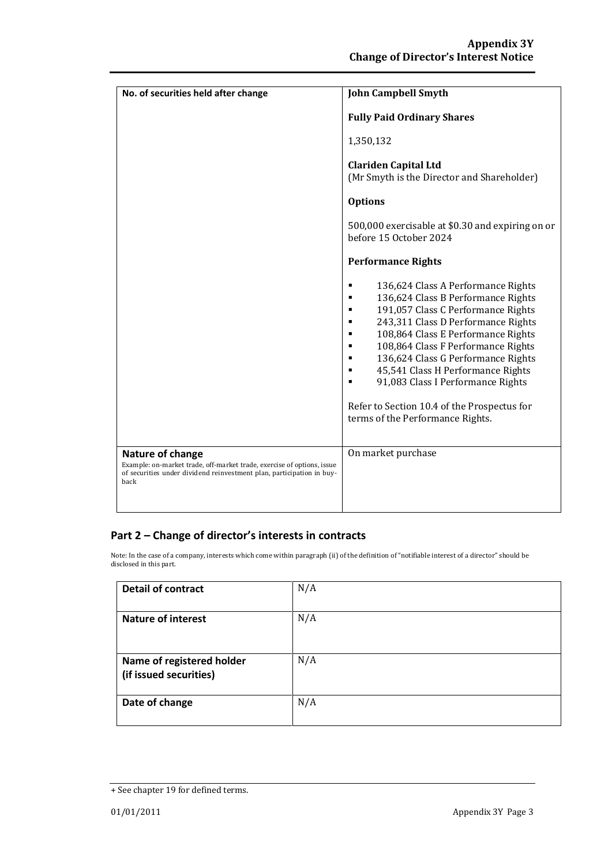| No. of securities held after change                                                                                                                                         | <b>John Campbell Smyth</b>                                                                                                                                                                                                                                                                                                                                                                                                                    |  |
|-----------------------------------------------------------------------------------------------------------------------------------------------------------------------------|-----------------------------------------------------------------------------------------------------------------------------------------------------------------------------------------------------------------------------------------------------------------------------------------------------------------------------------------------------------------------------------------------------------------------------------------------|--|
|                                                                                                                                                                             | <b>Fully Paid Ordinary Shares</b>                                                                                                                                                                                                                                                                                                                                                                                                             |  |
|                                                                                                                                                                             | 1,350,132                                                                                                                                                                                                                                                                                                                                                                                                                                     |  |
|                                                                                                                                                                             | <b>Clariden Capital Ltd</b><br>(Mr Smyth is the Director and Shareholder)                                                                                                                                                                                                                                                                                                                                                                     |  |
|                                                                                                                                                                             | <b>Options</b>                                                                                                                                                                                                                                                                                                                                                                                                                                |  |
|                                                                                                                                                                             | 500,000 exercisable at \$0.30 and expiring on or<br>before 15 October 2024                                                                                                                                                                                                                                                                                                                                                                    |  |
|                                                                                                                                                                             | <b>Performance Rights</b>                                                                                                                                                                                                                                                                                                                                                                                                                     |  |
|                                                                                                                                                                             | 136,624 Class A Performance Rights<br>136,624 Class B Performance Rights<br>191,057 Class C Performance Rights<br>243,311 Class D Performance Rights<br>٠<br>108,864 Class E Performance Rights<br>٠<br>108,864 Class F Performance Rights<br>136,624 Class G Performance Rights<br>45,541 Class H Performance Rights<br>91,083 Class I Performance Rights<br>Refer to Section 10.4 of the Prospectus for<br>terms of the Performance Rights. |  |
| Nature of change<br>Example: on-market trade, off-market trade, exercise of options, issue<br>of securities under dividend reinvestment plan, participation in buy-<br>back | On market purchase                                                                                                                                                                                                                                                                                                                                                                                                                            |  |
|                                                                                                                                                                             |                                                                                                                                                                                                                                                                                                                                                                                                                                               |  |

## **Part 2 – Change of director's interests in contracts**

Note: In the case of a company, interests which come within paragraph (ii) of the definition of "notifiable interest of a director" should be disclosed in this part.

| <b>Detail of contract</b>                           | N/A |
|-----------------------------------------------------|-----|
| <b>Nature of interest</b>                           | N/A |
| Name of registered holder<br>(if issued securities) | N/A |
| Date of change                                      | N/A |

<sup>+</sup> See chapter 19 for defined terms.